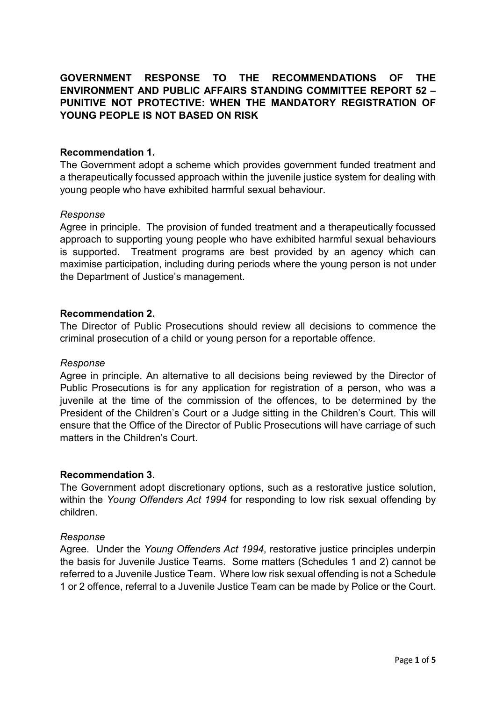# GOVERNMENT RESPONSE TO THE RECOMMENDATIONS OF THE ENVIRONMENT AND PUBLIC AFFAIRS STANDING COMMITTEE REPORT 52 – PUNITIVE NOT PROTECTIVE: WHEN THE MANDATORY REGISTRATION OF YOUNG PEOPLE IS NOT BASED ON RISK

# Recommendation 1.

The Government adopt a scheme which provides government funded treatment and a therapeutically focussed approach within the juvenile justice system for dealing with young people who have exhibited harmful sexual behaviour.

# Response

Agree in principle. The provision of funded treatment and a therapeutically focussed approach to supporting young people who have exhibited harmful sexual behaviours is supported. Treatment programs are best provided by an agency which can maximise participation, including during periods where the young person is not under the Department of Justice's management.

## Recommendation 2.

The Director of Public Prosecutions should review all decisions to commence the criminal prosecution of a child or young person for a reportable offence.

### Response

Agree in principle. An alternative to all decisions being reviewed by the Director of Public Prosecutions is for any application for registration of a person, who was a juvenile at the time of the commission of the offences, to be determined by the President of the Children's Court or a Judge sitting in the Children's Court. This will ensure that the Office of the Director of Public Prosecutions will have carriage of such matters in the Children's Court.

# Recommendation 3.

The Government adopt discretionary options, such as a restorative justice solution, within the Young Offenders Act 1994 for responding to low risk sexual offending by children.

### Response

Agree. Under the Young Offenders Act 1994, restorative justice principles underpin the basis for Juvenile Justice Teams. Some matters (Schedules 1 and 2) cannot be referred to a Juvenile Justice Team. Where low risk sexual offending is not a Schedule 1 or 2 offence, referral to a Juvenile Justice Team can be made by Police or the Court.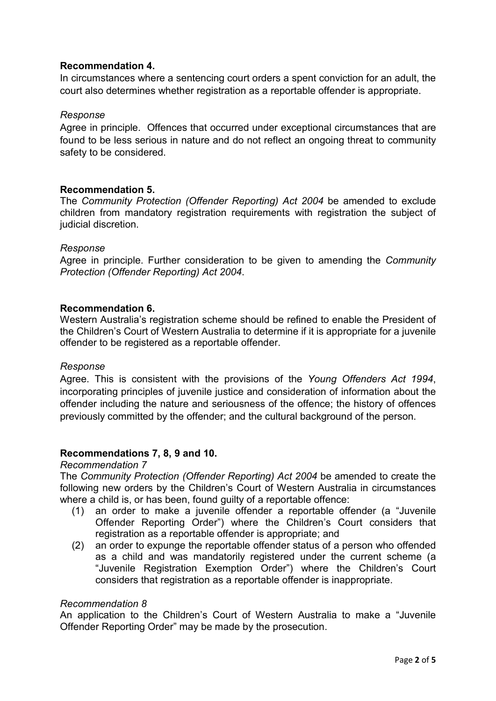# Recommendation 4.

In circumstances where a sentencing court orders a spent conviction for an adult, the court also determines whether registration as a reportable offender is appropriate.

# Response

Agree in principle. Offences that occurred under exceptional circumstances that are found to be less serious in nature and do not reflect an ongoing threat to community safety to be considered.

## Recommendation 5.

The Community Protection (Offender Reporting) Act 2004 be amended to exclude children from mandatory registration requirements with registration the subject of judicial discretion.

## Response

Agree in principle. Further consideration to be given to amending the *Community* Protection (Offender Reporting) Act 2004.

## Recommendation 6.

Western Australia's registration scheme should be refined to enable the President of the Children's Court of Western Australia to determine if it is appropriate for a juvenile offender to be registered as a reportable offender.

### Response

Agree. This is consistent with the provisions of the Young Offenders Act 1994, incorporating principles of juvenile justice and consideration of information about the offender including the nature and seriousness of the offence; the history of offences previously committed by the offender; and the cultural background of the person.

# Recommendations 7, 8, 9 and 10.

### Recommendation 7

The Community Protection (Offender Reporting) Act 2004 be amended to create the following new orders by the Children's Court of Western Australia in circumstances where a child is, or has been, found guilty of a reportable offence:

- (1) an order to make a juvenile offender a reportable offender (a "Juvenile Offender Reporting Order") where the Children's Court considers that registration as a reportable offender is appropriate; and
- (2) an order to expunge the reportable offender status of a person who offended as a child and was mandatorily registered under the current scheme (a "Juvenile Registration Exemption Order") where the Children's Court considers that registration as a reportable offender is inappropriate.

## Recommendation 8

An application to the Children's Court of Western Australia to make a "Juvenile Offender Reporting Order" may be made by the prosecution.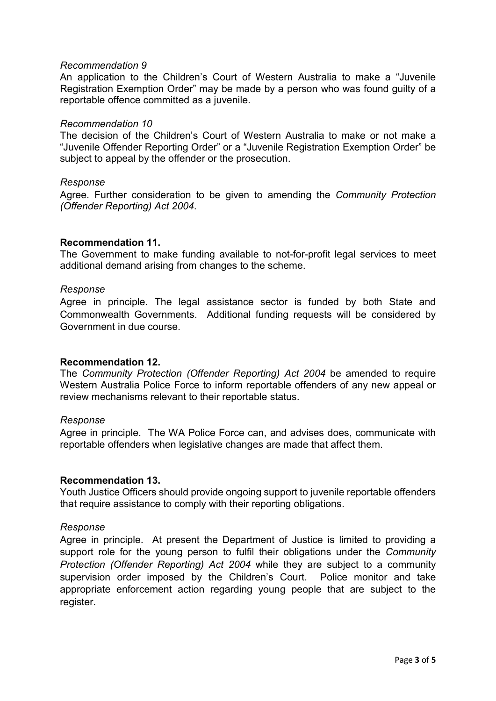#### Recommendation 9

An application to the Children's Court of Western Australia to make a "Juvenile Registration Exemption Order" may be made by a person who was found guilty of a reportable offence committed as a juvenile.

#### Recommendation 10

The decision of the Children's Court of Western Australia to make or not make a "Juvenile Offender Reporting Order" or a "Juvenile Registration Exemption Order" be subject to appeal by the offender or the prosecution.

### Response

Agree. Further consideration to be given to amending the Community Protection (Offender Reporting) Act 2004.

#### Recommendation 11.

The Government to make funding available to not-for-profit legal services to meet additional demand arising from changes to the scheme.

#### Response

Agree in principle. The legal assistance sector is funded by both State and Commonwealth Governments. Additional funding requests will be considered by Government in due course.

### Recommendation 12.

The Community Protection (Offender Reporting) Act 2004 be amended to require Western Australia Police Force to inform reportable offenders of any new appeal or review mechanisms relevant to their reportable status.

#### Response

Agree in principle. The WA Police Force can, and advises does, communicate with reportable offenders when legislative changes are made that affect them.

### Recommendation 13.

Youth Justice Officers should provide ongoing support to juvenile reportable offenders that require assistance to comply with their reporting obligations.

#### Response

Agree in principle. At present the Department of Justice is limited to providing a support role for the young person to fulfil their obligations under the *Community* Protection (Offender Reporting) Act 2004 while they are subject to a community supervision order imposed by the Children's Court. Police monitor and take appropriate enforcement action regarding young people that are subject to the register.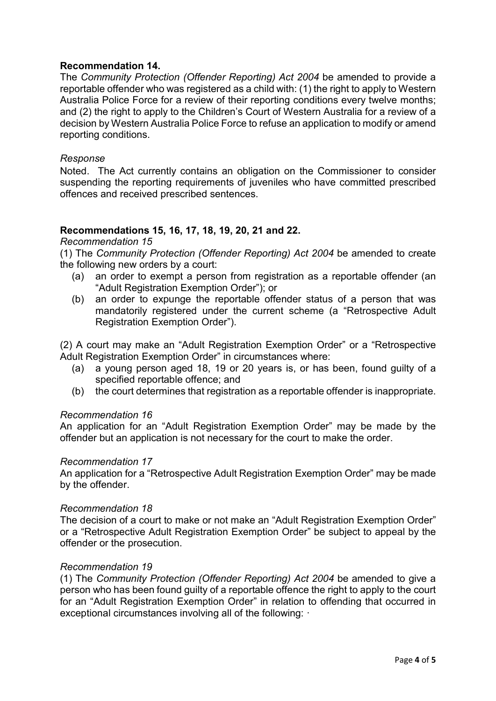# Recommendation 14.

The Community Protection (Offender Reporting) Act 2004 be amended to provide a reportable offender who was registered as a child with: (1) the right to apply to Western Australia Police Force for a review of their reporting conditions every twelve months; and (2) the right to apply to the Children's Court of Western Australia for a review of a decision by Western Australia Police Force to refuse an application to modify or amend reporting conditions.

### Response

Noted. The Act currently contains an obligation on the Commissioner to consider suspending the reporting requirements of juveniles who have committed prescribed offences and received prescribed sentences.

# Recommendations 15, 16, 17, 18, 19, 20, 21 and 22.

### Recommendation 15

(1) The Community Protection (Offender Reporting) Act 2004 be amended to create the following new orders by a court:

- (a) an order to exempt a person from registration as a reportable offender (an "Adult Registration Exemption Order"); or
- (b) an order to expunge the reportable offender status of a person that was mandatorily registered under the current scheme (a "Retrospective Adult Registration Exemption Order").

(2) A court may make an "Adult Registration Exemption Order" or a "Retrospective Adult Registration Exemption Order" in circumstances where:

- (a) a young person aged 18, 19 or 20 years is, or has been, found guilty of a specified reportable offence; and
- (b) the court determines that registration as a reportable offender is inappropriate.

### Recommendation 16

An application for an "Adult Registration Exemption Order" may be made by the offender but an application is not necessary for the court to make the order.

### Recommendation 17

An application for a "Retrospective Adult Registration Exemption Order" may be made by the offender.

### Recommendation 18

The decision of a court to make or not make an "Adult Registration Exemption Order" or a "Retrospective Adult Registration Exemption Order" be subject to appeal by the offender or the prosecution.

### Recommendation 19

(1) The Community Protection (Offender Reporting) Act 2004 be amended to give a person who has been found guilty of a reportable offence the right to apply to the court for an "Adult Registration Exemption Order" in relation to offending that occurred in exceptional circumstances involving all of the following: ·